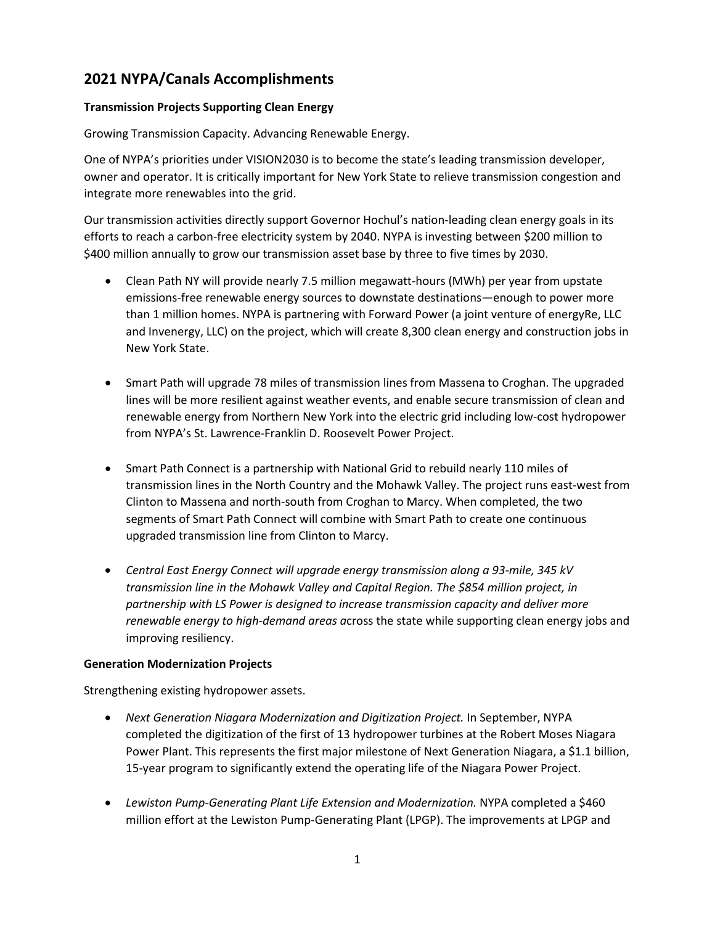# **2021 NYPA/Canals Accomplishments**

#### **Transmission Projects Supporting Clean Energy**

Growing Transmission Capacity. Advancing Renewable Energy.

One of NYPA's priorities under VISION2030 is to become the state's leading transmission developer, owner and operator. It is critically important for New York State to relieve transmission congestion and integrate more renewables into the grid.

Our transmission activities directly support Governor Hochul's nation-leading clean energy goals in its efforts to reach a carbon-free electricity system by 2040. NYPA is investing between \$200 million to \$400 million annually to grow our transmission asset base by three to five times by 2030.

- Clean Path NY will provide nearly 7.5 million megawatt-hours (MWh) per year from upstate emissions-free renewable energy sources to downstate destinations—enough to power more than 1 million homes. NYPA is partnering with Forward Power (a joint venture of energyRe, LLC and Invenergy, LLC) on the project, which will create 8,300 clean energy and construction jobs in New York State.
- Smart Path will upgrade 78 miles of transmission lines from Massena to Croghan. The upgraded lines will be more resilient against weather events, and enable secure transmission of clean and renewable energy from Northern New York into the electric grid including low-cost hydropower from NYPA's St. Lawrence-Franklin D. Roosevelt Power Project.
- Smart Path Connect is a partnership with National Grid to rebuild nearly 110 miles of transmission lines in the North Country and the Mohawk Valley. The project runs east-west from Clinton to Massena and north-south from Croghan to Marcy. When completed, the two segments of Smart Path Connect will combine with Smart Path to create one continuous upgraded transmission line from Clinton to Marcy.
- *Central East Energy Connect will upgrade energy transmission along a 93-mile, 345 kV transmission line in the Mohawk Valley and Capital Region. The \$854 million project, in partnership with LS Power is designed to increase transmission capacity and deliver more renewable energy to high-demand areas a*cross the state while supporting clean energy jobs and improving resiliency.

#### **Generation Modernization Projects**

Strengthening existing hydropower assets.

- Next Generation Niagara Modernization and Digitization Project. In September, NYPA completed the digitization of the first of 13 hydropower turbines at the Robert Moses Niagara Power Plant. This represents the first major milestone of Next Generation Niagara, a \$1.1 billion, 15-year program to significantly extend the operating life of the Niagara Power Project.
- Lewiston Pump-Generating Plant Life Extension and Modernization. NYPA completed a \$460 million effort at the Lewiston Pump-Generating Plant (LPGP). The improvements at LPGP and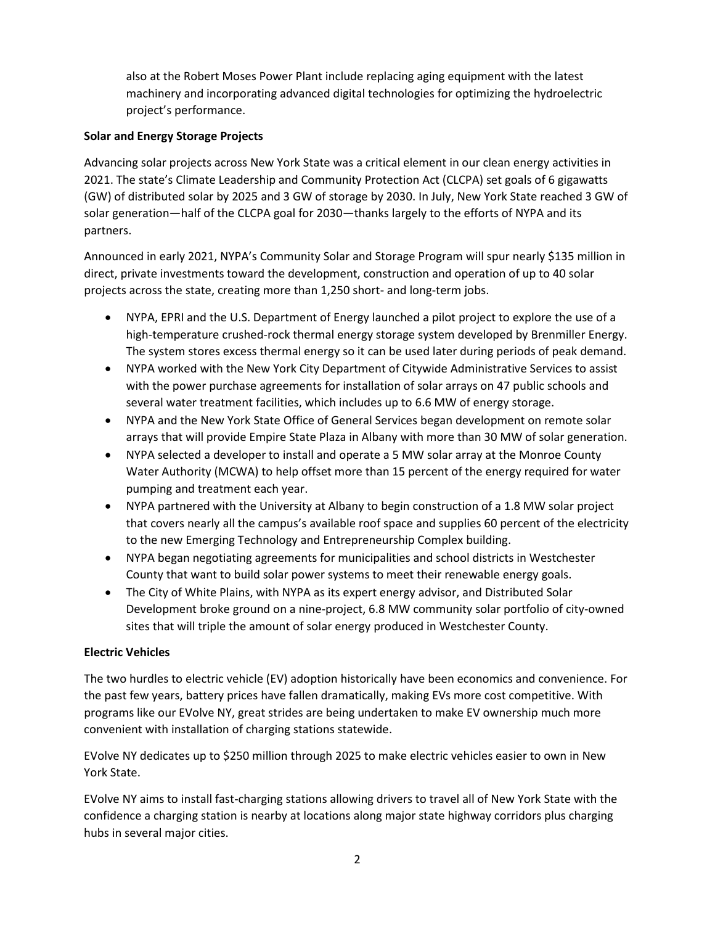also at the Robert Moses Power Plant include replacing aging equipment with the latest machinery and incorporating advanced digital technologies for optimizing the hydroelectric project's performance.

#### **Solar and Energy Storage Projects**

Advancing solar projects across New York State was a critical element in our clean energy activities in 2021. The state's Climate Leadership and Community Protection Act (CLCPA) set goals of 6 gigawatts (GW) of distributed solar by 2025 and 3 GW of storage by 2030. In July, New York State reached 3 GW of solar generation—half of the CLCPA goal for 2030—thanks largely to the efforts of NYPA and its partners.

Announced in early 2021, NYPA's Community Solar and Storage Program will spur nearly \$135 million in direct, private investments toward the development, construction and operation of up to 40 solar projects across the state, creating more than 1,250 short- and long-term jobs.

- NYPA, EPRI and the U.S. Department of Energy launched a pilot project to explore the use of a high-temperature crushed-rock thermal energy storage system developed by Brenmiller Energy. The system stores excess thermal energy so it can be used later during periods of peak demand.
- NYPA worked with the New York City Department of Citywide Administrative Services to assist with the power purchase agreements for installation of solar arrays on 47 public schools and several water treatment facilities, which includes up to 6.6 MW of energy storage.
- NYPA and the New York State Office of General Services began development on remote solar arrays that will provide Empire State Plaza in Albany with more than 30 MW of solar generation.
- NYPA selected a developer to install and operate a 5 MW solar array at the Monroe County Water Authority (MCWA) to help offset more than 15 percent of the energy required for water pumping and treatment each year.
- NYPA partnered with the University at Albany to begin construction of a 1.8 MW solar project that covers nearly all the campus's available roof space and supplies 60 percent of the electricity to the new Emerging Technology and Entrepreneurship Complex building.
- NYPA began negotiating agreements for municipalities and school districts in Westchester County that want to build solar power systems to meet their renewable energy goals.
- The City of White Plains, with NYPA as its expert energy advisor, and Distributed Solar Development broke ground on a nine-project, 6.8 MW community solar portfolio of city-owned sites that will triple the amount of solar energy produced in Westchester County.

### **Electric Vehicles**

The two hurdles to electric vehicle (EV) adoption historically have been economics and convenience. For the past few years, battery prices have fallen dramatically, making EVs more cost competitive. With programs like our EVolve NY, great strides are being undertaken to make EV ownership much more convenient with installation of charging stations statewide.

EVolve NY dedicates up to \$250 million through 2025 to make electric vehicles easier to own in New York State.

EVolve NY aims to install fast-charging stations allowing drivers to travel all of New York State with the confidence a charging station is nearby at locations along major state highway corridors plus charging hubs in several major cities.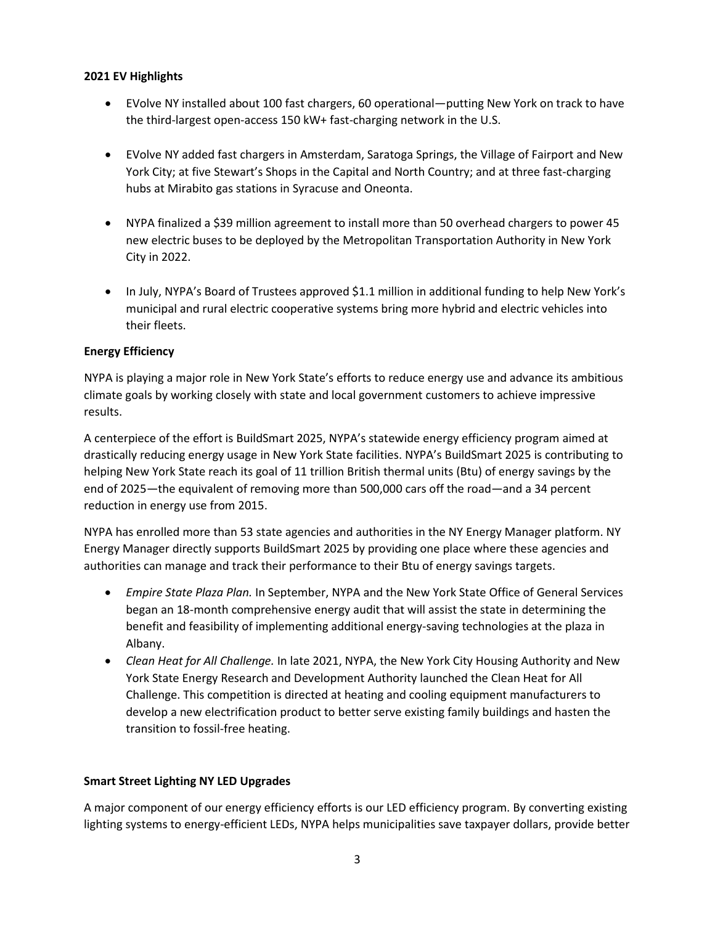#### **2021 EV Highlights**

- EVolve NY installed about 100 fast chargers, 60 operational—putting New York on track to have the third-largest open-access 150 kW+ fast-charging network in the U.S.
- EVolve NY added fast chargers in Amsterdam, Saratoga Springs, the Village of Fairport and New York City; at five Stewart's Shops in the Capital and North Country; and at three fast-charging hubs at Mirabito gas stations in Syracuse and Oneonta.
- NYPA finalized a \$39 million agreement to install more than 50 overhead chargers to power 45 new electric buses to be deployed by the Metropolitan Transportation Authority in New York City in 2022.
- In July, NYPA's Board of Trustees approved \$1.1 million in additional funding to help New York's municipal and rural electric cooperative systems bring more hybrid and electric vehicles into their fleets.

### **Energy Efficiency**

NYPA is playing a major role in New York State's efforts to reduce energy use and advance its ambitious climate goals by working closely with state and local government customers to achieve impressive results.

A centerpiece of the effort is BuildSmart 2025, NYPA's statewide energy efficiency program aimed at drastically reducing energy usage in New York State facilities. NYPA's BuildSmart 2025 is contributing to helping New York State reach its goal of 11 trillion British thermal units (Btu) of energy savings by the end of 2025—the equivalent of removing more than 500,000 cars off the road—and a 34 percent reduction in energy use from 2015.

NYPA has enrolled more than 53 state agencies and authorities in the NY Energy Manager platform. NY Energy Manager directly supports BuildSmart 2025 by providing one place where these agencies and authorities can manage and track their performance to their Btu of energy savings targets.

- *Empire State Plaza Plan.* In September, NYPA and the New York State Office of General Services began an 18-month comprehensive energy audit that will assist the state in determining the benefit and feasibility of implementing additional energy-saving technologies at the plaza in Albany.
- *Clean Heat for All Challenge.* In late 2021, NYPA, the New York City Housing Authority and New York State Energy Research and Development Authority launched the Clean Heat for All Challenge. This competition is directed at heating and cooling equipment manufacturers to develop a new electrification product to better serve existing family buildings and hasten the transition to fossil-free heating.

### **Smart Street Lighting NY LED Upgrades**

A major component of our energy efficiency efforts is our LED efficiency program. By converting existing lighting systems to energy-efficient LEDs, NYPA helps municipalities save taxpayer dollars, provide better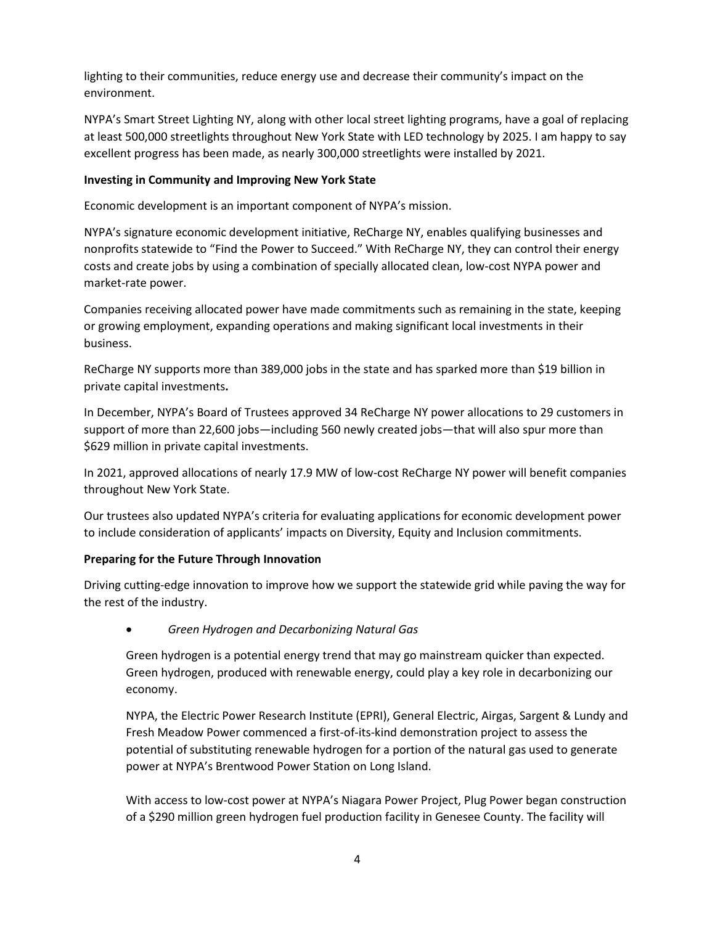lighting to their communities, reduce energy use and decrease their community's impact on the environment.

NYPA's Smart Street Lighting NY, along with other local street lighting programs, have a goal of replacing at least 500,000 streetlights throughout New York State with LED technology by 2025. I am happy to say excellent progress has been made, as nearly 300,000 streetlights were installed by 2021.

#### **Investing in Community and Improving New York State**

Economic development is an important component of NYPA's mission.

NYPA's signature economic development initiative, ReCharge NY, enables qualifying businesses and nonprofits statewide to "Find the Power to Succeed." With ReCharge NY, they can control their energy costs and create jobs by using a combination of specially allocated clean, low-cost NYPA power and market-rate power.

Companies receiving allocated power have made commitments such as remaining in the state, keeping or growing employment, expanding operations and making significant local investments in their business.

ReCharge NY supports more than 389,000 jobs in the state and has sparked more than \$19 billion in private capital investments**.** 

In December, NYPA's Board of Trustees approved 34 ReCharge NY power allocations to 29 customers in support of more than 22,600 jobs—including 560 newly created jobs—that will also spur more than \$629 million in private capital investments.

In 2021, approved allocations of nearly 17.9 MW of low-cost ReCharge NY power will benefit companies throughout New York State.

Our trustees also updated NYPA's criteria for evaluating applications for economic development power to include consideration of applicants' impacts on Diversity, Equity and Inclusion commitments.

### **Preparing for the Future Through Innovation**

Driving cutting-edge innovation to improve how we support the statewide grid while paving the way for the rest of the industry.

• *Green Hydrogen and Decarbonizing Natural Gas*

Green hydrogen is a potential energy trend that may go mainstream quicker than expected. Green hydrogen, produced with renewable energy, could play a key role in decarbonizing our economy.

NYPA, the Electric Power Research Institute (EPRI), General Electric, Airgas, Sargent & Lundy and Fresh Meadow Power commenced a first-of-its-kind demonstration project to assess the potential of substituting renewable hydrogen for a portion of the natural gas used to generate power at NYPA's Brentwood Power Station on Long Island.

With access to low-cost power at NYPA's Niagara Power Project, Plug Power began construction of a \$290 million green hydrogen fuel production facility in Genesee County. The facility will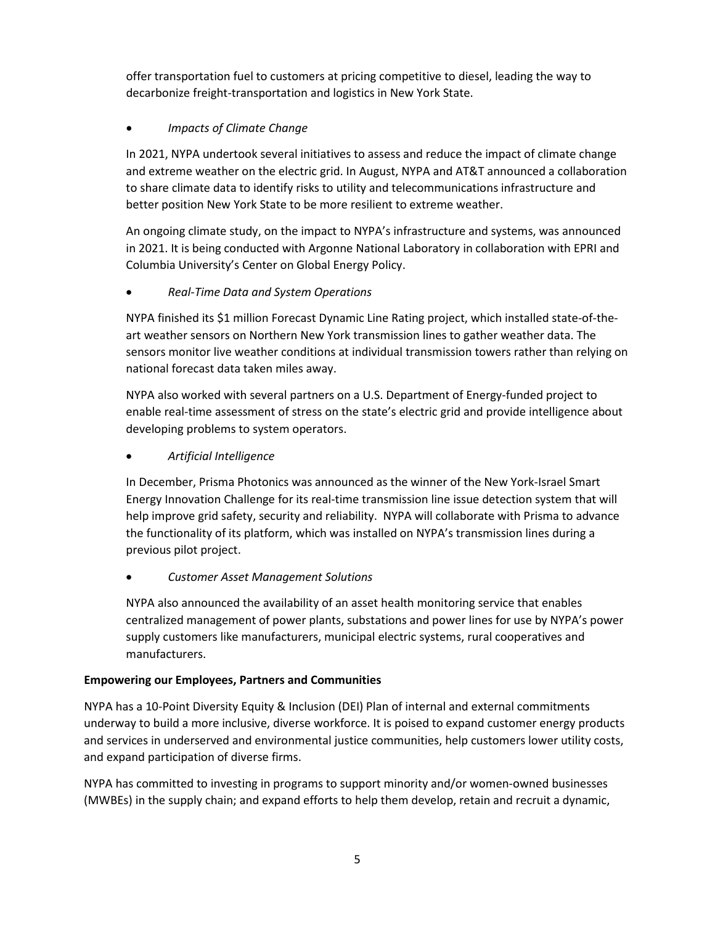offer transportation fuel to customers at pricing competitive to diesel, leading the way to decarbonize freight-transportation and logistics in New York State.

# • *Impacts of Climate Change*

In 2021, NYPA undertook several initiatives to assess and reduce the impact of climate change and extreme weather on the electric grid. In August, NYPA and AT&T announced a collaboration to share climate data to identify risks to utility and telecommunications infrastructure and better position New York State to be more resilient to extreme weather.

An ongoing climate study, on the impact to NYPA's infrastructure and systems, was announced in 2021. It is being conducted with Argonne National Laboratory in collaboration with EPRI and Columbia University's Center on Global Energy Policy.

# • *Real-Time Data and System Operations*

NYPA finished its \$1 million Forecast Dynamic Line Rating project, which installed state-of-theart weather sensors on Northern New York transmission lines to gather weather data. The sensors monitor live weather conditions at individual transmission towers rather than relying on national forecast data taken miles away.

NYPA also worked with several partners on a U.S. Department of Energy-funded project to enable real-time assessment of stress on the state's electric grid and provide intelligence about developing problems to system operators.

# • *Artificial Intelligence*

In December, Prisma Photonics was announced as the winner of the New York-Israel Smart Energy Innovation Challenge for its real-time transmission line issue detection system that will help improve grid safety, security and reliability. NYPA will collaborate with Prisma to advance the functionality of its platform, which was installed on NYPA's transmission lines during a previous pilot project.

### • *Customer Asset Management Solutions*

NYPA also announced the availability of an asset health monitoring service that enables centralized management of power plants, substations and power lines for use by NYPA's power supply customers like manufacturers, municipal electric systems, rural cooperatives and manufacturers.

### **Empowering our Employees, Partners and Communities**

NYPA has a 10-Point Diversity Equity & Inclusion (DEI) Plan of internal and external commitments underway to build a more inclusive, diverse workforce. It is poised to expand customer energy products and services in underserved and environmental justice communities, help customers lower utility costs, and expand participation of diverse firms.

NYPA has committed to investing in programs to support minority and/or women-owned businesses (MWBEs) in the supply chain; and expand efforts to help them develop, retain and recruit a dynamic,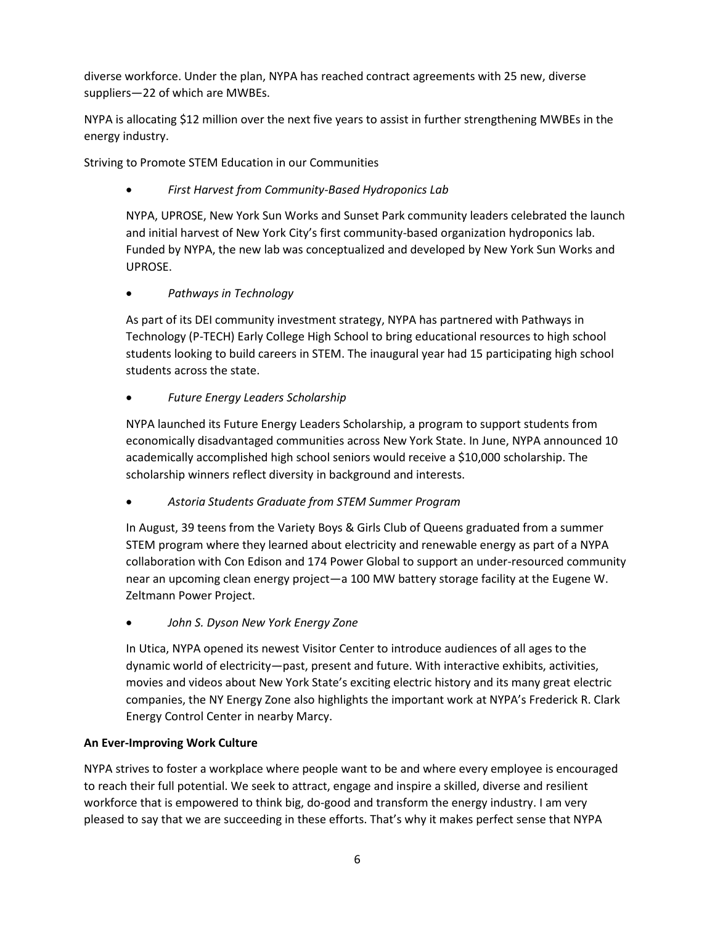diverse workforce. Under the plan, NYPA has reached contract agreements with 25 new, diverse suppliers—22 of which are MWBEs.

NYPA is allocating \$12 million over the next five years to assist in further strengthening MWBEs in the energy industry.

Striving to Promote STEM Education in our Communities

• *First Harvest from Community-Based Hydroponics Lab*

NYPA, UPROSE, New York Sun Works and Sunset Park community leaders celebrated the launch and initial harvest of New York City's first community-based organization hydroponics lab. Funded by NYPA, the new lab was conceptualized and developed by New York Sun Works and UPROSE.

• *Pathways in Technology*

As part of its DEI community investment strategy, NYPA has partnered with Pathways in Technology (P-TECH) Early College High School to bring educational resources to high school students looking to build careers in STEM. The inaugural year had 15 participating high school students across the state.

# • *Future Energy Leaders Scholarship*

NYPA launched its Future Energy Leaders Scholarship, a program to support students from economically disadvantaged communities across New York State. In June, NYPA announced 10 academically accomplished high school seniors would receive a \$10,000 scholarship. The scholarship winners reflect diversity in background and interests.

• *Astoria Students Graduate from STEM Summer Program*

In August, 39 teens from the Variety Boys & Girls Club of Queens graduated from a summer STEM program where they learned about electricity and renewable energy as part of a NYPA collaboration with Con Edison and 174 Power Global to support an under-resourced community near an upcoming clean energy project—a 100 MW battery storage facility at the Eugene W. Zeltmann Power Project.

• *John S. Dyson New York Energy Zone*

In Utica, NYPA opened its newest Visitor Center to introduce audiences of all ages to the dynamic world of electricity—past, present and future. With interactive exhibits, activities, movies and videos about New York State's exciting electric history and its many great electric companies, the NY Energy Zone also highlights the important work at NYPA's Frederick R. Clark Energy Control Center in nearby Marcy.

### **An Ever-Improving Work Culture**

NYPA strives to foster a workplace where people want to be and where every employee is encouraged to reach their full potential. We seek to attract, engage and inspire a skilled, diverse and resilient workforce that is empowered to think big, do-good and transform the energy industry. I am very pleased to say that we are succeeding in these efforts. That's why it makes perfect sense that NYPA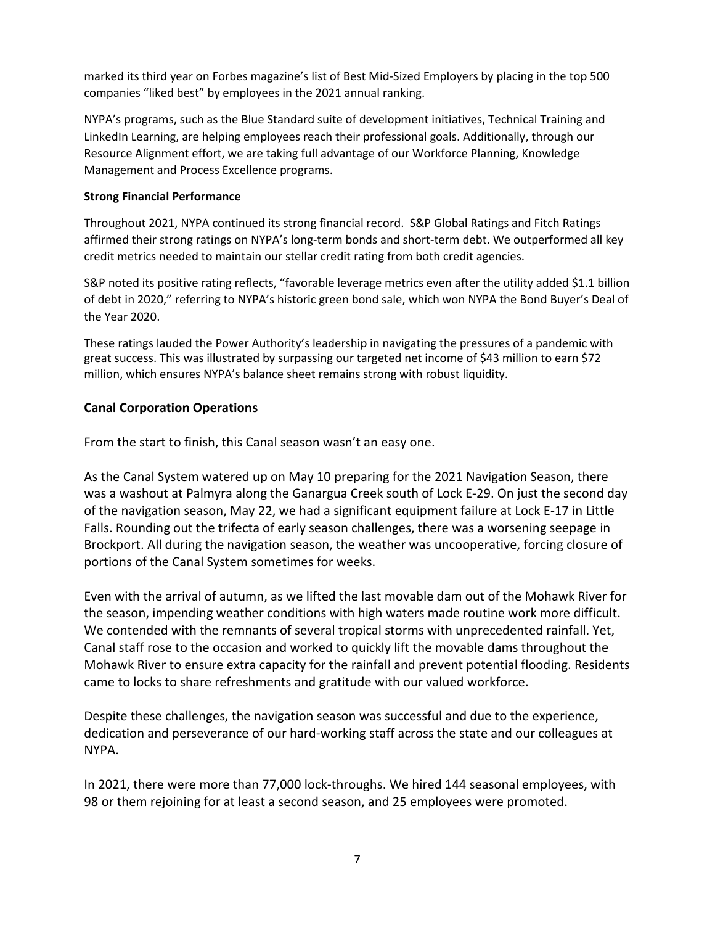marked its third year on Forbes magazine's list of Best Mid-Sized Employers by placing in the top 500 companies "liked best" by employees in the 2021 annual ranking.

NYPA's programs, such as the Blue Standard suite of development initiatives, Technical Training and LinkedIn Learning, are helping employees reach their professional goals. Additionally, through our Resource Alignment effort, we are taking full advantage of our Workforce Planning, Knowledge Management and Process Excellence programs.

#### **Strong Financial Performance**

Throughout 2021, NYPA continued its strong financial record. S&P Global Ratings and Fitch Ratings affirmed their strong ratings on NYPA's long-term bonds and short-term debt. We outperformed all key credit metrics needed to maintain our stellar credit rating from both credit agencies.

S&P noted its positive rating reflects, "favorable leverage metrics even after the utility added \$1.1 billion of debt in 2020," referring to NYPA's historic green bond sale, which won NYPA the Bond Buyer's Deal of the Year 2020.

These ratings lauded the Power Authority's leadership in navigating the pressures of a pandemic with great success. This was illustrated by surpassing our targeted net income of \$43 million to earn \$72 million, which ensures NYPA's balance sheet remains strong with robust liquidity.

# **Canal Corporation Operations**

From the start to finish, this Canal season wasn't an easy one.

As the Canal System watered up on May 10 preparing for the 2021 Navigation Season, there was a washout at Palmyra along the Ganargua Creek south of Lock E-29. On just the second day of the navigation season, May 22, we had a significant equipment failure at Lock E-17 in Little Falls. Rounding out the trifecta of early season challenges, there was a worsening seepage in Brockport. All during the navigation season, the weather was uncooperative, forcing closure of portions of the Canal System sometimes for weeks.

Even with the arrival of autumn, as we lifted the last movable dam out of the Mohawk River for the season, impending weather conditions with high waters made routine work more difficult. We contended with the remnants of several tropical storms with unprecedented rainfall. Yet, Canal staff rose to the occasion and worked to quickly lift the movable dams throughout the Mohawk River to ensure extra capacity for the rainfall and prevent potential flooding. Residents came to locks to share refreshments and gratitude with our valued workforce.

Despite these challenges, the navigation season was successful and due to the experience, dedication and perseverance of our hard-working staff across the state and our colleagues at NYPA.

In 2021, there were more than 77,000 lock-throughs. We hired 144 seasonal employees, with 98 or them rejoining for at least a second season, and 25 employees were promoted.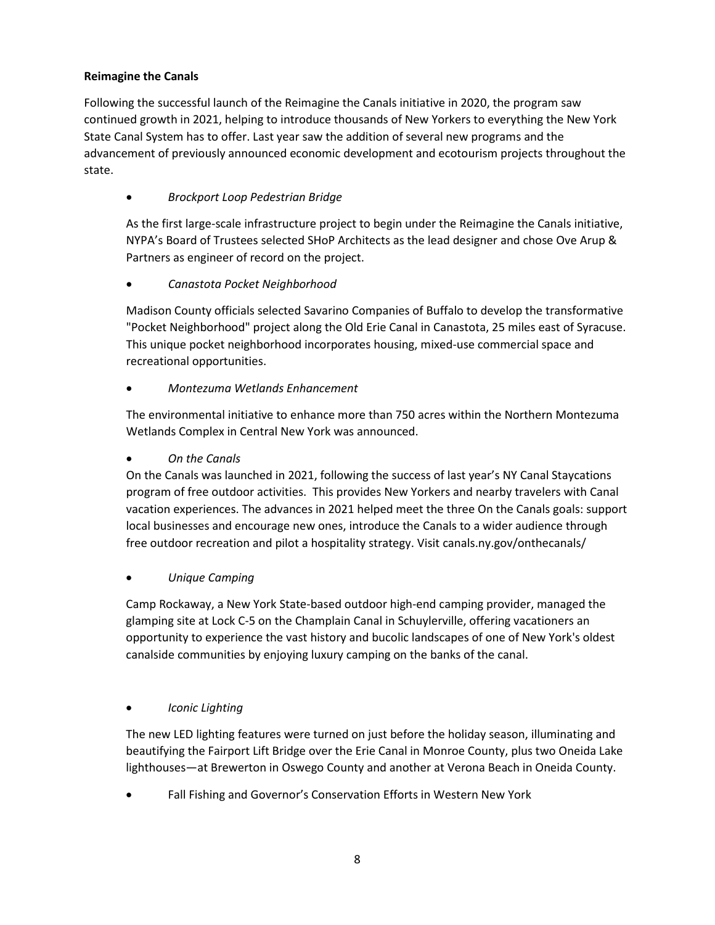### **Reimagine the Canals**

Following the successful launch of the Reimagine the Canals initiative in 2020, the program saw continued growth in 2021, helping to introduce thousands of New Yorkers to everything the New York State Canal System has to offer. Last year saw the addition of several new programs and the advancement of previously announced economic development and ecotourism projects throughout the state.

# • *Brockport Loop Pedestrian Bridge*

As the first large-scale infrastructure project to begin under the Reimagine the Canals initiative, NYPA's Board of Trustees selected SHoP Architects as the lead designer and chose Ove Arup & Partners as engineer of record on the project.

# • *Canastota Pocket Neighborhood*

Madison County officials selected Savarino Companies of Buffalo to develop the transformative "Pocket Neighborhood" project along the Old Erie Canal in Canastota, 25 miles east of Syracuse. This unique pocket neighborhood incorporates housing, mixed-use commercial space and recreational opportunities.

# • *Montezuma Wetlands Enhancement*

The environmental initiative to enhance more than 750 acres within the Northern Montezuma Wetlands Complex in Central New York was announced.

### • *On the Canals*

On the Canals was launched in 2021, following the success of last year's NY Canal Staycations program of free outdoor activities. This provides New Yorkers and nearby travelers with Canal vacation experiences. The advances in 2021 helped meet the three On the Canals goals: support local businesses and encourage new ones, introduce the Canals to a wider audience through free outdoor recreation and pilot a hospitality strategy. Visit canals.ny.gov/onthecanals/

### • *Unique Camping*

Camp Rockaway, a New York State-based outdoor high-end camping provider, managed the glamping site at Lock C-5 on the Champlain Canal in Schuylerville, offering vacationers an opportunity to experience the vast history and bucolic landscapes of one of New York's oldest canalside communities by enjoying luxury camping on the banks of the canal.

### • *Iconic Lighting*

The new LED lighting features were turned on just before the holiday season, illuminating and beautifying the Fairport Lift Bridge over the Erie Canal in Monroe County, plus two Oneida Lake lighthouses—at Brewerton in Oswego County and another at Verona Beach in Oneida County.

• Fall Fishing and Governor's Conservation Efforts in Western New York